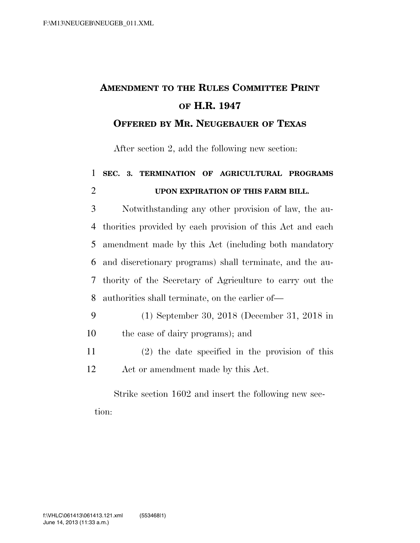## **AMENDMENT TO THE RULES COMMITTEE PRINT OF H.R. 1947**

## **OFFERED BY MR. NEUGEBAUER OF TEXAS**

After section 2, add the following new section:

## 1 **SEC. 3. TERMINATION OF AGRICULTURAL PROGRAMS**  2 **UPON EXPIRATION OF THIS FARM BILL.**

 Notwithstanding any other provision of law, the au- thorities provided by each provision of this Act and each amendment made by this Act (including both mandatory and discretionary programs) shall terminate, and the au- thority of the Secretary of Agriculture to carry out the authorities shall terminate, on the earlier of—

- 9 (1) September 30, 2018 (December 31, 2018 in 10 the case of dairy programs); and
- 11 (2) the date specified in the provision of this 12 Act or amendment made by this Act.

Strike section 1602 and insert the following new section: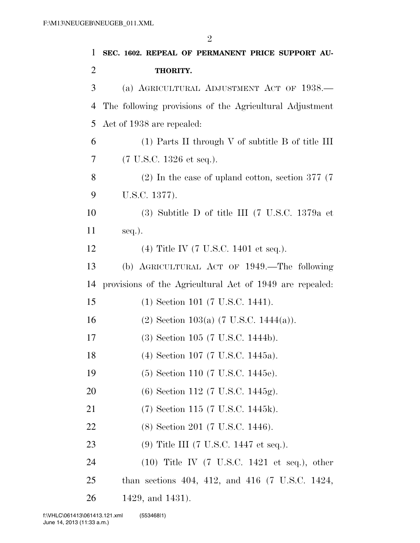| 1              | SEC. 1602. REPEAL OF PERMANENT PRICE SUPPORT AU-                          |
|----------------|---------------------------------------------------------------------------|
| $\overline{2}$ | THORITY.                                                                  |
| 3              | (a) AGRICULTURAL ADJUSTMENT ACT OF 1938.—                                 |
| $\overline{4}$ | The following provisions of the Agricultural Adjustment                   |
| 5              | Act of 1938 are repealed:                                                 |
| 6              | $(1)$ Parts II through V of subtitle B of title III                       |
| 7              | $(7 \text{ U.S.C. } 1326 \text{ et seq.}).$                               |
| 8              | $(2)$ In the case of upland cotton, section 377 (7)                       |
| 9              | U.S.C. 1377).                                                             |
| 10             | $(3)$ Subtitle D of title III $(7 \text{ U.S.C. } 1379a \text{ et }$      |
| 11             | $seq.$ ).                                                                 |
| 12             | $(4)$ Title IV (7 U.S.C. 1401 et seq.).                                   |
| 13             | (b) AGRICULTURAL ACT OF 1949.—The following                               |
| 14             | provisions of the Agricultural Act of 1949 are repealed:                  |
| 15             | (1) Section 101 (7 U.S.C. 1441).                                          |
| 16             | $(2)$ Section 103(a) (7 U.S.C. 1444(a)).                                  |
| 17             | (3) Section 105 (7 U.S.C. 1444b).                                         |
| 18             | (4) Section 107 (7 U.S.C. 1445a).                                         |
| 19             | $(5)$ Section 110 (7 U.S.C. 1445e).                                       |
| 20             | (6) Section 112 (7 U.S.C. 1445g).                                         |
| 21             | (7) Section 115 (7 U.S.C. 1445k).                                         |
| 22             | (8) Section 201 (7 U.S.C. 1446).                                          |
| 23             | $(9)$ Title III (7 U.S.C. 1447 et seq.).                                  |
| 24             | $(10)$ Title IV $(7 \text{ U.S.C. } 1421 \text{ et seq.}), \text{ other}$ |
| 25             | than sections 404, 412, and 416 $(7 \text{ U.S.C. } 1424,$                |
| 26             | 1429, and 1431).                                                          |